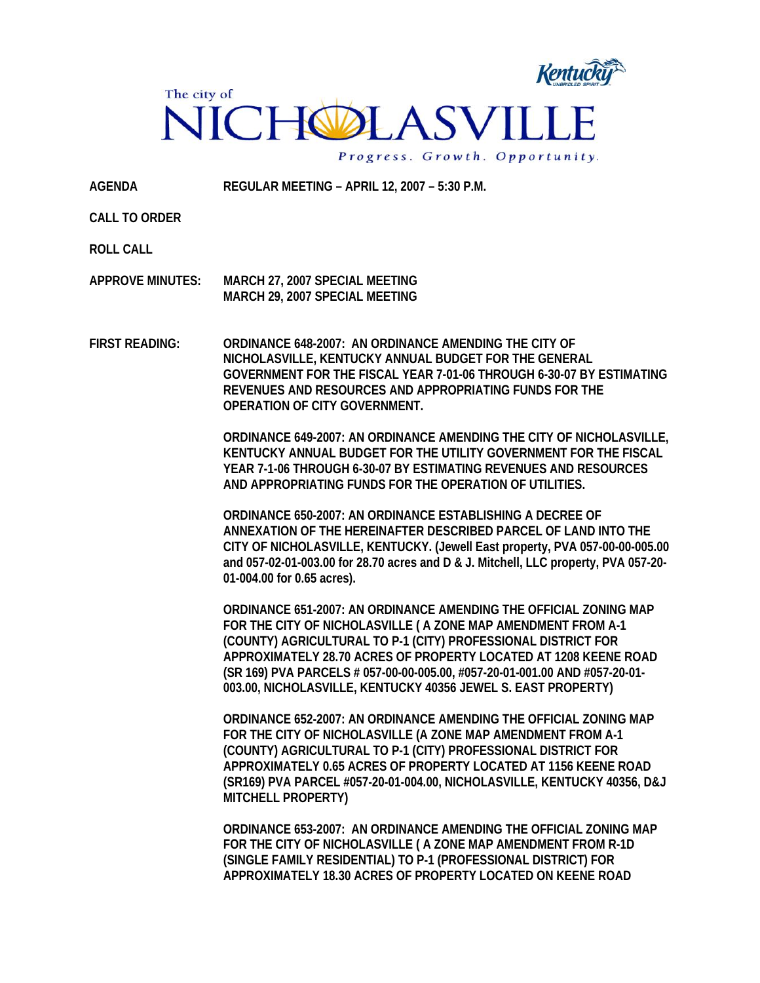

**AGENDA REGULAR MEETING – APRIL 12, 2007 – 5:30 P.M.** 

**CALL TO ORDER** 

**ROLL CALL** 

**APPROVE MINUTES: MARCH 27, 2007 SPECIAL MEETING MARCH 29, 2007 SPECIAL MEETING** 

**FIRST READING: ORDINANCE 648-2007: AN ORDINANCE AMENDING THE CITY OF NICHOLASVILLE, KENTUCKY ANNUAL BUDGET FOR THE GENERAL GOVERNMENT FOR THE FISCAL YEAR 7-01-06 THROUGH 6-30-07 BY ESTIMATING REVENUES AND RESOURCES AND APPROPRIATING FUNDS FOR THE OPERATION OF CITY GOVERNMENT.** 

> **ORDINANCE 649-2007: AN ORDINANCE AMENDING THE CITY OF NICHOLASVILLE, KENTUCKY ANNUAL BUDGET FOR THE UTILITY GOVERNMENT FOR THE FISCAL YEAR 7-1-06 THROUGH 6-30-07 BY ESTIMATING REVENUES AND RESOURCES AND APPROPRIATING FUNDS FOR THE OPERATION OF UTILITIES.**

> **ORDINANCE 650-2007: AN ORDINANCE ESTABLISHING A DECREE OF ANNEXATION OF THE HEREINAFTER DESCRIBED PARCEL OF LAND INTO THE CITY OF NICHOLASVILLE, KENTUCKY. (Jewell East property, PVA 057-00-00-005.00 and 057-02-01-003.00 for 28.70 acres and D & J. Mitchell, LLC property, PVA 057-20- 01-004.00 for 0.65 acres).**

**ORDINANCE 651-2007: AN ORDINANCE AMENDING THE OFFICIAL ZONING MAP FOR THE CITY OF NICHOLASVILLE ( A ZONE MAP AMENDMENT FROM A-1 (COUNTY) AGRICULTURAL TO P-1 (CITY) PROFESSIONAL DISTRICT FOR APPROXIMATELY 28.70 ACRES OF PROPERTY LOCATED AT 1208 KEENE ROAD (SR 169) PVA PARCELS # 057-00-00-005.00, #057-20-01-001.00 AND #057-20-01- 003.00, NICHOLASVILLE, KENTUCKY 40356 JEWEL S. EAST PROPERTY)** 

**ORDINANCE 652-2007: AN ORDINANCE AMENDING THE OFFICIAL ZONING MAP FOR THE CITY OF NICHOLASVILLE (A ZONE MAP AMENDMENT FROM A-1 (COUNTY) AGRICULTURAL TO P-1 (CITY) PROFESSIONAL DISTRICT FOR APPROXIMATELY 0.65 ACRES OF PROPERTY LOCATED AT 1156 KEENE ROAD (SR169) PVA PARCEL #057-20-01-004.00, NICHOLASVILLE, KENTUCKY 40356, D&J MITCHELL PROPERTY)** 

**ORDINANCE 653-2007: AN ORDINANCE AMENDING THE OFFICIAL ZONING MAP FOR THE CITY OF NICHOLASVILLE ( A ZONE MAP AMENDMENT FROM R-1D (SINGLE FAMILY RESIDENTIAL) TO P-1 (PROFESSIONAL DISTRICT) FOR APPROXIMATELY 18.30 ACRES OF PROPERTY LOCATED ON KEENE ROAD**